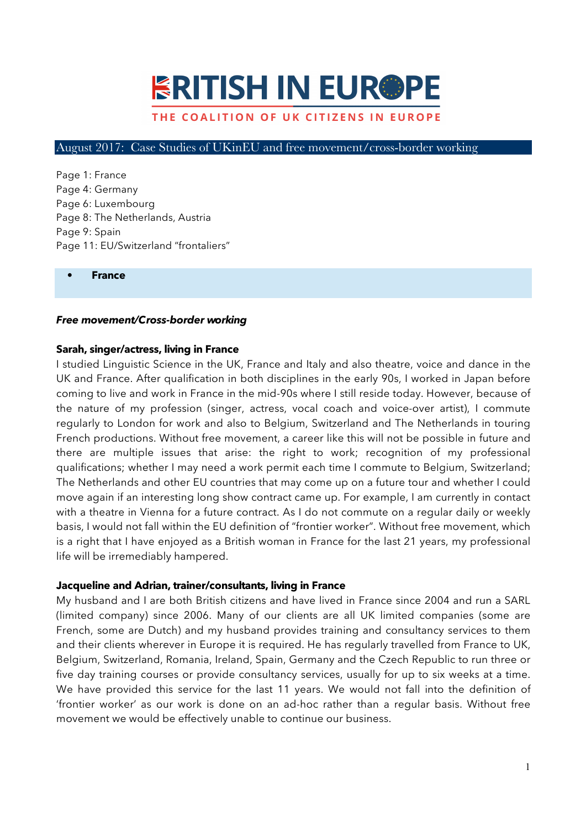# **ERITISH IN EUR®PE**

## THE COALITION OF UK CITIZENS IN EUROPE

#### August 2017: Case Studies of UKinEU and free movement/cross-border working

Page 1: France Page 4: Germany Page 6: Luxembourg Page 8: The Netherlands, Austria Page 9: Spain Page 11: EU/Switzerland "frontaliers"

**• France**

#### *Free movement/Cross-border working*

#### **Sarah, singer/actress, living in France**

I studied Linguistic Science in the UK, France and Italy and also theatre, voice and dance in the UK and France. After qualification in both disciplines in the early 90s, I worked in Japan before coming to live and work in France in the mid-90s where I still reside today. However, because of the nature of my profession (singer, actress, vocal coach and voice-over artist), I commute regularly to London for work and also to Belgium, Switzerland and The Netherlands in touring French productions. Without free movement, a career like this will not be possible in future and there are multiple issues that arise: the right to work; recognition of my professional qualifications; whether I may need a work permit each time I commute to Belgium, Switzerland; The Netherlands and other EU countries that may come up on a future tour and whether I could move again if an interesting long show contract came up. For example, I am currently in contact with a theatre in Vienna for a future contract. As I do not commute on a regular daily or weekly basis, I would not fall within the EU definition of "frontier worker". Without free movement, which is a right that I have enjoyed as a British woman in France for the last 21 years, my professional life will be irremediably hampered.

#### **Jacqueline and Adrian, trainer/consultants, living in France**

My husband and I are both British citizens and have lived in France since 2004 and run a SARL (limited company) since 2006. Many of our clients are all UK limited companies (some are French, some are Dutch) and my husband provides training and consultancy services to them and their clients wherever in Europe it is required. He has regularly travelled from France to UK, Belgium, Switzerland, Romania, Ireland, Spain, Germany and the Czech Republic to run three or five day training courses or provide consultancy services, usually for up to six weeks at a time. We have provided this service for the last 11 years. We would not fall into the definition of 'frontier worker' as our work is done on an ad-hoc rather than a regular basis. Without free movement we would be effectively unable to continue our business.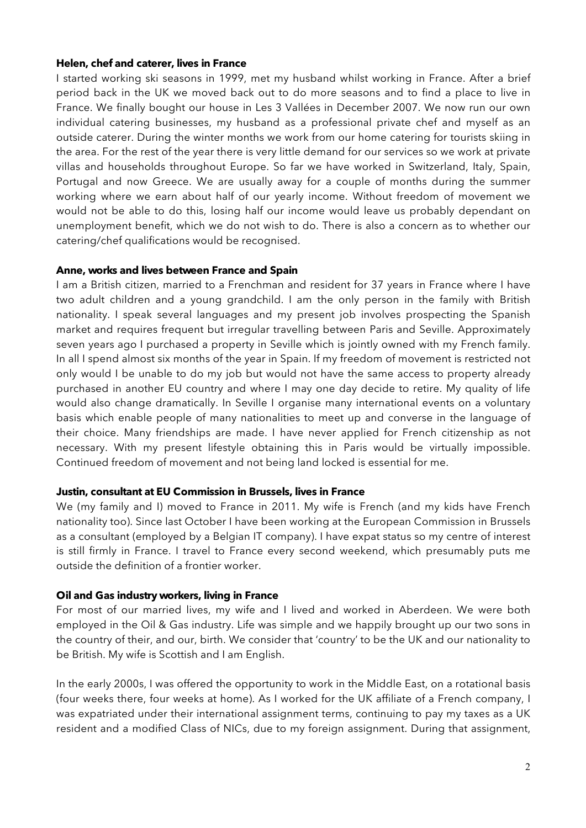#### **Helen, chef and caterer, lives in France**

I started working ski seasons in 1999, met my husband whilst working in France. After a brief period back in the UK we moved back out to do more seasons and to find a place to live in France. We finally bought our house in Les 3 Vallées in December 2007. We now run our own individual catering businesses, my husband as a professional private chef and myself as an outside caterer. During the winter months we work from our home catering for tourists skiing in the area. For the rest of the year there is very little demand for our services so we work at private villas and households throughout Europe. So far we have worked in Switzerland, Italy, Spain, Portugal and now Greece. We are usually away for a couple of months during the summer working where we earn about half of our yearly income. Without freedom of movement we would not be able to do this, losing half our income would leave us probably dependant on unemployment benefit, which we do not wish to do. There is also a concern as to whether our catering/chef qualifications would be recognised.

## **Anne, works and lives between France and Spain**

I am a British citizen, married to a Frenchman and resident for 37 years in France where I have two adult children and a young grandchild. I am the only person in the family with British nationality. I speak several languages and my present job involves prospecting the Spanish market and requires frequent but irregular travelling between Paris and Seville. Approximately seven years ago I purchased a property in Seville which is jointly owned with my French family. In all I spend almost six months of the year in Spain. If my freedom of movement is restricted not only would I be unable to do my job but would not have the same access to property already purchased in another EU country and where I may one day decide to retire. My quality of life would also change dramatically. In Seville I organise many international events on a voluntary basis which enable people of many nationalities to meet up and converse in the language of their choice. Many friendships are made. I have never applied for French citizenship as not necessary. With my present lifestyle obtaining this in Paris would be virtually impossible. Continued freedom of movement and not being land locked is essential for me.

## **Justin, consultant at EU Commission in Brussels, lives in France**

We (my family and I) moved to France in 2011. My wife is French (and my kids have French nationality too). Since last October I have been working at the European Commission in Brussels as a consultant (employed by a Belgian IT company). I have expat status so my centre of interest is still firmly in France. I travel to France every second weekend, which presumably puts me outside the definition of a frontier worker.

## **Oil and Gas industry workers, living in France**

For most of our married lives, my wife and I lived and worked in Aberdeen. We were both employed in the Oil & Gas industry. Life was simple and we happily brought up our two sons in the country of their, and our, birth. We consider that 'country' to be the UK and our nationality to be British. My wife is Scottish and I am English.

In the early 2000s, I was offered the opportunity to work in the Middle East, on a rotational basis (four weeks there, four weeks at home). As I worked for the UK affiliate of a French company, I was expatriated under their international assignment terms, continuing to pay my taxes as a UK resident and a modified Class of NICs, due to my foreign assignment. During that assignment,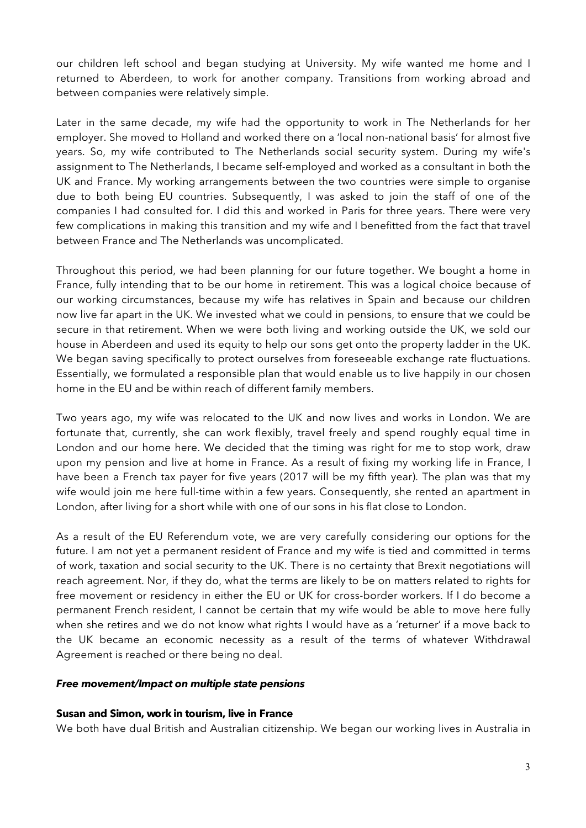our children left school and began studying at University. My wife wanted me home and I returned to Aberdeen, to work for another company. Transitions from working abroad and between companies were relatively simple.

Later in the same decade, my wife had the opportunity to work in The Netherlands for her employer. She moved to Holland and worked there on a 'local non-national basis' for almost five years. So, my wife contributed to The Netherlands social security system. During my wife's assignment to The Netherlands, I became self-employed and worked as a consultant in both the UK and France. My working arrangements between the two countries were simple to organise due to both being EU countries. Subsequently, I was asked to join the staff of one of the companies I had consulted for. I did this and worked in Paris for three years. There were very few complications in making this transition and my wife and I benefitted from the fact that travel between France and The Netherlands was uncomplicated.

Throughout this period, we had been planning for our future together. We bought a home in France, fully intending that to be our home in retirement. This was a logical choice because of our working circumstances, because my wife has relatives in Spain and because our children now live far apart in the UK. We invested what we could in pensions, to ensure that we could be secure in that retirement. When we were both living and working outside the UK, we sold our house in Aberdeen and used its equity to help our sons get onto the property ladder in the UK. We began saving specifically to protect ourselves from foreseeable exchange rate fluctuations. Essentially, we formulated a responsible plan that would enable us to live happily in our chosen home in the EU and be within reach of different family members.

Two years ago, my wife was relocated to the UK and now lives and works in London. We are fortunate that, currently, she can work flexibly, travel freely and spend roughly equal time in London and our home here. We decided that the timing was right for me to stop work, draw upon my pension and live at home in France. As a result of fixing my working life in France, I have been a French tax payer for five years (2017 will be my fifth year). The plan was that my wife would join me here full-time within a few years. Consequently, she rented an apartment in London, after living for a short while with one of our sons in his flat close to London.

As a result of the EU Referendum vote, we are very carefully considering our options for the future. I am not yet a permanent resident of France and my wife is tied and committed in terms of work, taxation and social security to the UK. There is no certainty that Brexit negotiations will reach agreement. Nor, if they do, what the terms are likely to be on matters related to rights for free movement or residency in either the EU or UK for cross-border workers. If I do become a permanent French resident, I cannot be certain that my wife would be able to move here fully when she retires and we do not know what rights I would have as a 'returner' if a move back to the UK became an economic necessity as a result of the terms of whatever Withdrawal Agreement is reached or there being no deal.

## *Free movement/Impact on multiple state pensions*

## **Susan and Simon, work in tourism, live in France**

We both have dual British and Australian citizenship. We began our working lives in Australia in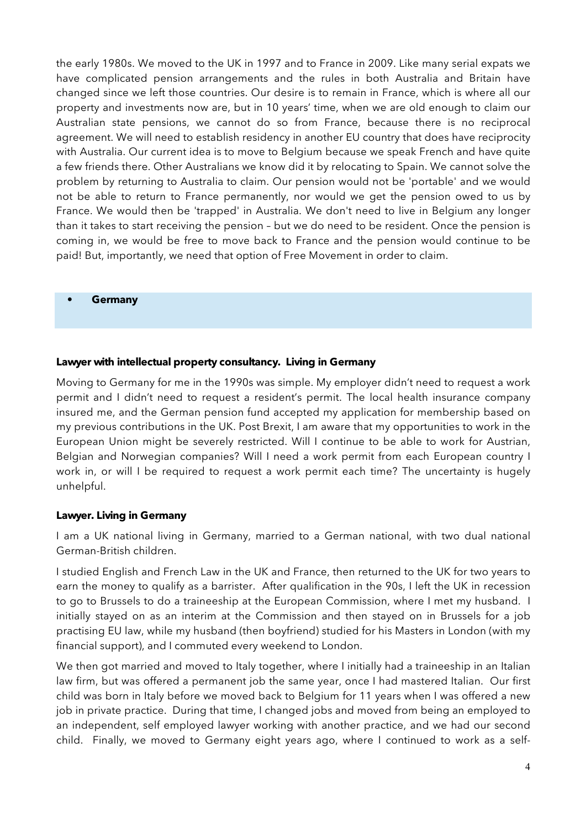the early 1980s. We moved to the UK in 1997 and to France in 2009. Like many serial expats we have complicated pension arrangements and the rules in both Australia and Britain have changed since we left those countries. Our desire is to remain in France, which is where all our property and investments now are, but in 10 years' time, when we are old enough to claim our Australian state pensions, we cannot do so from France, because there is no reciprocal agreement. We will need to establish residency in another EU country that does have reciprocity with Australia. Our current idea is to move to Belgium because we speak French and have quite a few friends there. Other Australians we know did it by relocating to Spain. We cannot solve the problem by returning to Australia to claim. Our pension would not be 'portable' and we would not be able to return to France permanently, nor would we get the pension owed to us by France. We would then be 'trapped' in Australia. We don't need to live in Belgium any longer than it takes to start receiving the pension – but we do need to be resident. Once the pension is coming in, we would be free to move back to France and the pension would continue to be paid! But, importantly, we need that option of Free Movement in order to claim.

**• Germany**

## **Lawyer with intellectual property consultancy. Living in Germany**

Moving to Germany for me in the 1990s was simple. My employer didn't need to request a work permit and I didn't need to request a resident's permit. The local health insurance company insured me, and the German pension fund accepted my application for membership based on my previous contributions in the UK. Post Brexit, I am aware that my opportunities to work in the European Union might be severely restricted. Will I continue to be able to work for Austrian, Belgian and Norwegian companies? Will I need a work permit from each European country I work in, or will I be required to request a work permit each time? The uncertainty is hugely unhelpful.

## **Lawyer. Living in Germany**

I am a UK national living in Germany, married to a German national, with two dual national German-British children.

I studied English and French Law in the UK and France, then returned to the UK for two years to earn the money to qualify as a barrister. After qualification in the 90s, I left the UK in recession to go to Brussels to do a traineeship at the European Commission, where I met my husband. I initially stayed on as an interim at the Commission and then stayed on in Brussels for a job practising EU law, while my husband (then boyfriend) studied for his Masters in London (with my financial support), and I commuted every weekend to London.

We then got married and moved to Italy together, where I initially had a traineeship in an Italian law firm, but was offered a permanent job the same year, once I had mastered Italian. Our first child was born in Italy before we moved back to Belgium for 11 years when I was offered a new job in private practice. During that time, I changed jobs and moved from being an employed to an independent, self employed lawyer working with another practice, and we had our second child. Finally, we moved to Germany eight years ago, where I continued to work as a self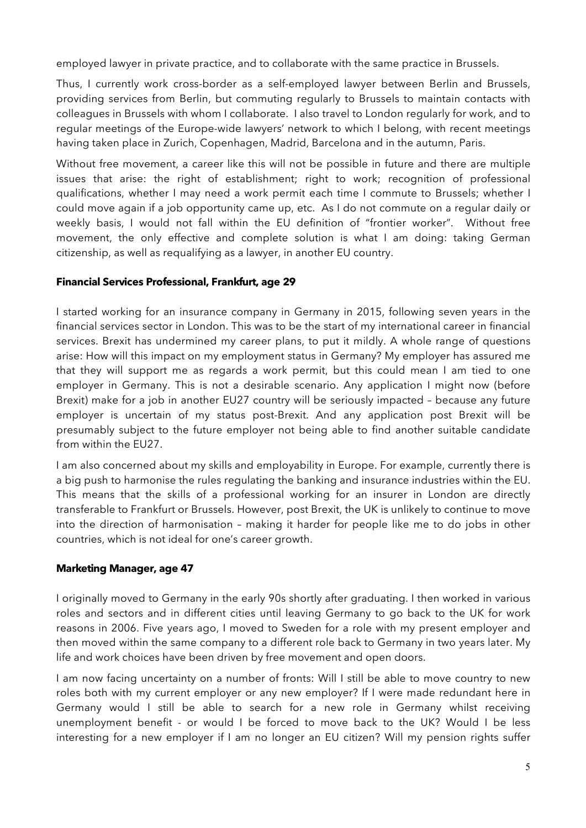employed lawyer in private practice, and to collaborate with the same practice in Brussels.

Thus, I currently work cross-border as a self-employed lawyer between Berlin and Brussels, providing services from Berlin, but commuting regularly to Brussels to maintain contacts with colleagues in Brussels with whom I collaborate. I also travel to London regularly for work, and to regular meetings of the Europe-wide lawyers' network to which I belong, with recent meetings having taken place in Zurich, Copenhagen, Madrid, Barcelona and in the autumn, Paris.

Without free movement, a career like this will not be possible in future and there are multiple issues that arise: the right of establishment; right to work; recognition of professional qualifications, whether I may need a work permit each time I commute to Brussels; whether I could move again if a job opportunity came up, etc. As I do not commute on a regular daily or weekly basis, I would not fall within the EU definition of "frontier worker". Without free movement, the only effective and complete solution is what I am doing: taking German citizenship, as well as requalifying as a lawyer, in another EU country.

## **Financial Services Professional, Frankfurt, age 29**

I started working for an insurance company in Germany in 2015, following seven years in the financial services sector in London. This was to be the start of my international career in financial services. Brexit has undermined my career plans, to put it mildly. A whole range of questions arise: How will this impact on my employment status in Germany? My employer has assured me that they will support me as regards a work permit, but this could mean I am tied to one employer in Germany. This is not a desirable scenario. Any application I might now (before Brexit) make for a job in another EU27 country will be seriously impacted – because any future employer is uncertain of my status post-Brexit. And any application post Brexit will be presumably subject to the future employer not being able to find another suitable candidate from within the EU27.

I am also concerned about my skills and employability in Europe. For example, currently there is a big push to harmonise the rules regulating the banking and insurance industries within the EU. This means that the skills of a professional working for an insurer in London are directly transferable to Frankfurt or Brussels. However, post Brexit, the UK is unlikely to continue to move into the direction of harmonisation – making it harder for people like me to do jobs in other countries, which is not ideal for one's career growth.

## **Marketing Manager, age 47**

I originally moved to Germany in the early 90s shortly after graduating. I then worked in various roles and sectors and in different cities until leaving Germany to go back to the UK for work reasons in 2006. Five years ago, I moved to Sweden for a role with my present employer and then moved within the same company to a different role back to Germany in two years later. My life and work choices have been driven by free movement and open doors.

I am now facing uncertainty on a number of fronts: Will I still be able to move country to new roles both with my current employer or any new employer? If I were made redundant here in Germany would I still be able to search for a new role in Germany whilst receiving unemployment benefit - or would I be forced to move back to the UK? Would I be less interesting for a new employer if I am no longer an EU citizen? Will my pension rights suffer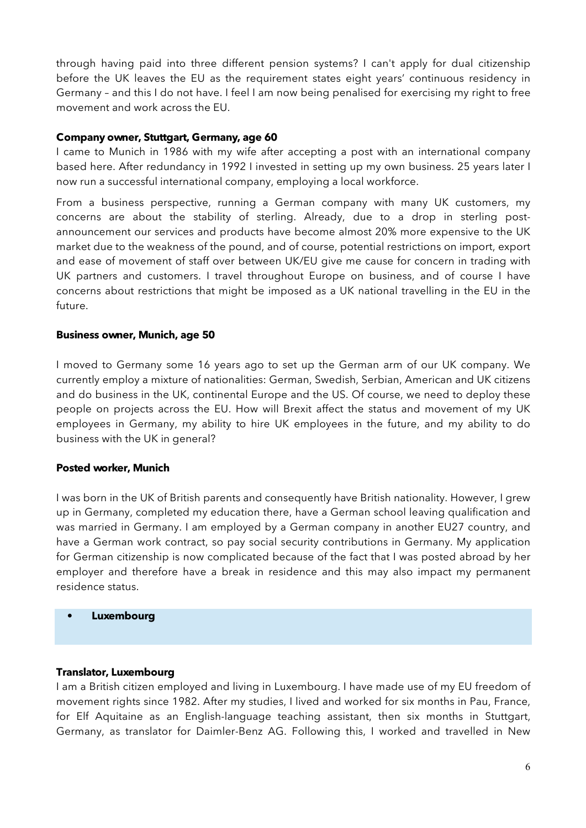through having paid into three different pension systems? I can't apply for dual citizenship before the UK leaves the EU as the requirement states eight years' continuous residency in Germany – and this I do not have. I feel I am now being penalised for exercising my right to free movement and work across the EU.

## **Company owner, Stuttgart, Germany, age 60**

I came to Munich in 1986 with my wife after accepting a post with an international company based here. After redundancy in 1992 I invested in setting up my own business. 25 years later I now run a successful international company, employing a local workforce.

From a business perspective, running a German company with many UK customers, my concerns are about the stability of sterling. Already, due to a drop in sterling postannouncement our services and products have become almost 20% more expensive to the UK market due to the weakness of the pound, and of course, potential restrictions on import, export and ease of movement of staff over between UK/EU give me cause for concern in trading with UK partners and customers. I travel throughout Europe on business, and of course I have concerns about restrictions that might be imposed as a UK national travelling in the EU in the future.

## **Business owner, Munich, age 50**

I moved to Germany some 16 years ago to set up the German arm of our UK company. We currently employ a mixture of nationalities: German, Swedish, Serbian, American and UK citizens and do business in the UK, continental Europe and the US. Of course, we need to deploy these people on projects across the EU. How will Brexit affect the status and movement of my UK employees in Germany, my ability to hire UK employees in the future, and my ability to do business with the UK in general?

## **Posted worker, Munich**

I was born in the UK of British parents and consequently have British nationality. However, I grew up in Germany, completed my education there, have a German school leaving qualification and was married in Germany. I am employed by a German company in another EU27 country, and have a German work contract, so pay social security contributions in Germany. My application for German citizenship is now complicated because of the fact that I was posted abroad by her employer and therefore have a break in residence and this may also impact my permanent residence status.

#### **• Luxembourg**

## **Translator, Luxembourg**

I am a British citizen employed and living in Luxembourg. I have made use of my EU freedom of movement rights since 1982. After my studies, I lived and worked for six months in Pau, France, for Elf Aquitaine as an English-language teaching assistant, then six months in Stuttgart, Germany, as translator for Daimler-Benz AG. Following this, I worked and travelled in New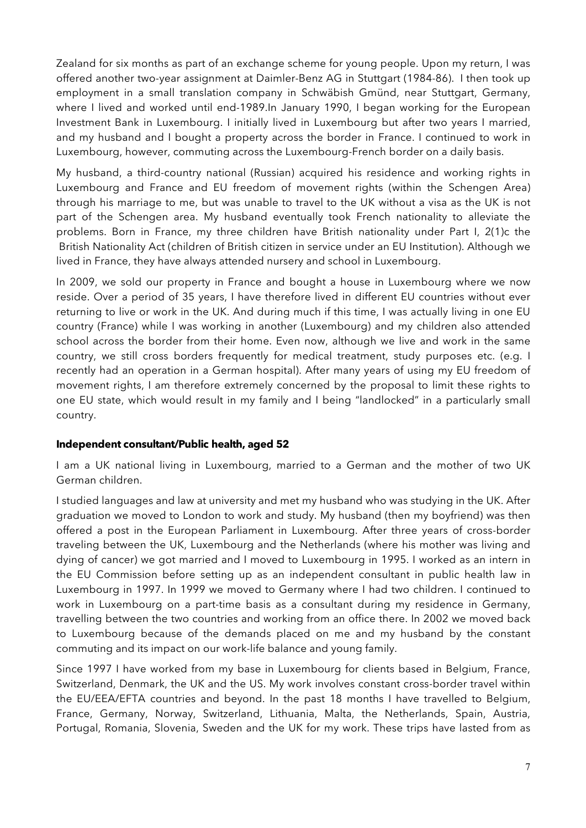Zealand for six months as part of an exchange scheme for young people. Upon my return, I was offered another two-year assignment at Daimler-Benz AG in Stuttgart (1984-86). I then took up employment in a small translation company in Schwäbish Gmünd, near Stuttgart, Germany, where I lived and worked until end-1989.In January 1990, I began working for the European Investment Bank in Luxembourg. I initially lived in Luxembourg but after two years I married, and my husband and I bought a property across the border in France. I continued to work in Luxembourg, however, commuting across the Luxembourg-French border on a daily basis.

My husband, a third-country national (Russian) acquired his residence and working rights in Luxembourg and France and EU freedom of movement rights (within the Schengen Area) through his marriage to me, but was unable to travel to the UK without a visa as the UK is not part of the Schengen area. My husband eventually took French nationality to alleviate the problems. Born in France, my three children have British nationality under Part I, 2(1)c the British Nationality Act (children of British citizen in service under an EU Institution). Although we lived in France, they have always attended nursery and school in Luxembourg.

In 2009, we sold our property in France and bought a house in Luxembourg where we now reside. Over a period of 35 years, I have therefore lived in different EU countries without ever returning to live or work in the UK. And during much if this time, I was actually living in one EU country (France) while I was working in another (Luxembourg) and my children also attended school across the border from their home. Even now, although we live and work in the same country, we still cross borders frequently for medical treatment, study purposes etc. (e.g. I recently had an operation in a German hospital). After many years of using my EU freedom of movement rights, I am therefore extremely concerned by the proposal to limit these rights to one EU state, which would result in my family and I being "landlocked" in a particularly small country.

## **Independent consultant/Public health, aged 52**

I am a UK national living in Luxembourg, married to a German and the mother of two UK German children.

I studied languages and law at university and met my husband who was studying in the UK. After graduation we moved to London to work and study. My husband (then my boyfriend) was then offered a post in the European Parliament in Luxembourg. After three years of cross-border traveling between the UK, Luxembourg and the Netherlands (where his mother was living and dying of cancer) we got married and I moved to Luxembourg in 1995. I worked as an intern in the EU Commission before setting up as an independent consultant in public health law in Luxembourg in 1997. In 1999 we moved to Germany where I had two children. I continued to work in Luxembourg on a part-time basis as a consultant during my residence in Germany, travelling between the two countries and working from an office there. In 2002 we moved back to Luxembourg because of the demands placed on me and my husband by the constant commuting and its impact on our work-life balance and young family.

Since 1997 I have worked from my base in Luxembourg for clients based in Belgium, France, Switzerland, Denmark, the UK and the US. My work involves constant cross-border travel within the EU/EEA/EFTA countries and beyond. In the past 18 months I have travelled to Belgium, France, Germany, Norway, Switzerland, Lithuania, Malta, the Netherlands, Spain, Austria, Portugal, Romania, Slovenia, Sweden and the UK for my work. These trips have lasted from as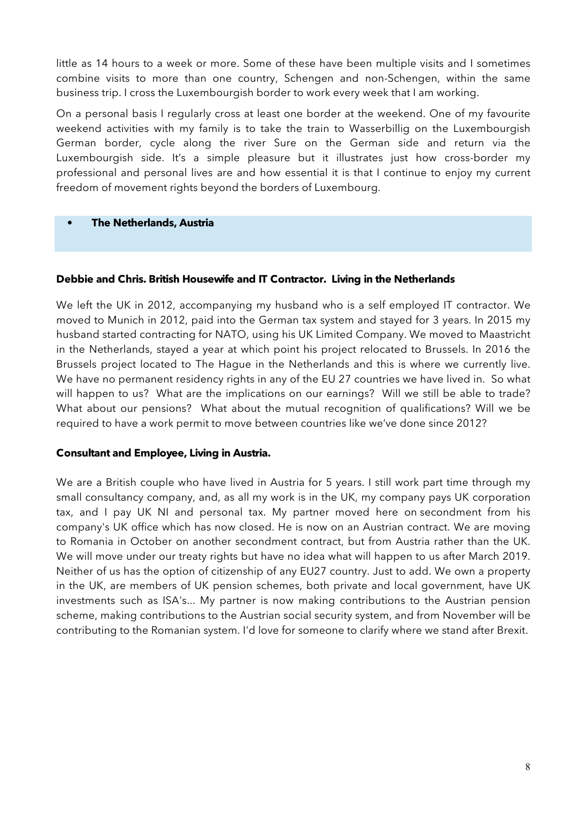little as 14 hours to a week or more. Some of these have been multiple visits and I sometimes combine visits to more than one country, Schengen and non-Schengen, within the same business trip. I cross the Luxembourgish border to work every week that I am working.

On a personal basis I regularly cross at least one border at the weekend. One of my favourite weekend activities with my family is to take the train to Wasserbillig on the Luxembourgish German border, cycle along the river Sure on the German side and return via the Luxembourgish side. It's a simple pleasure but it illustrates just how cross-border my professional and personal lives are and how essential it is that I continue to enjoy my current freedom of movement rights beyond the borders of Luxembourg.

## **• The Netherlands, Austria**

## **Debbie and Chris. British Housewife and IT Contractor. Living in the Netherlands**

We left the UK in 2012, accompanying my husband who is a self employed IT contractor. We moved to Munich in 2012, paid into the German tax system and stayed for 3 years. In 2015 my husband started contracting for NATO, using his UK Limited Company. We moved to Maastricht in the Netherlands, stayed a year at which point his project relocated to Brussels. In 2016 the Brussels project located to The Hague in the Netherlands and this is where we currently live. We have no permanent residency rights in any of the EU 27 countries we have lived in. So what will happen to us? What are the implications on our earnings? Will we still be able to trade? What about our pensions? What about the mutual recognition of qualifications? Will we be required to have a work permit to move between countries like we've done since 2012?

## **Consultant and Employee, Living in Austria.**

We are a British couple who have lived in Austria for 5 years. I still work part time through my small consultancy company, and, as all my work is in the UK, my company pays UK corporation tax, and I pay UK NI and personal tax. My partner moved here on secondment from his company's UK office which has now closed. He is now on an Austrian contract. We are moving to Romania in October on another secondment contract, but from Austria rather than the UK. We will move under our treaty rights but have no idea what will happen to us after March 2019. Neither of us has the option of citizenship of any EU27 country. Just to add. We own a property in the UK, are members of UK pension schemes, both private and local government, have UK investments such as ISA's... My partner is now making contributions to the Austrian pension scheme, making contributions to the Austrian social security system, and from November will be contributing to the Romanian system. I'd love for someone to clarify where we stand after Brexit.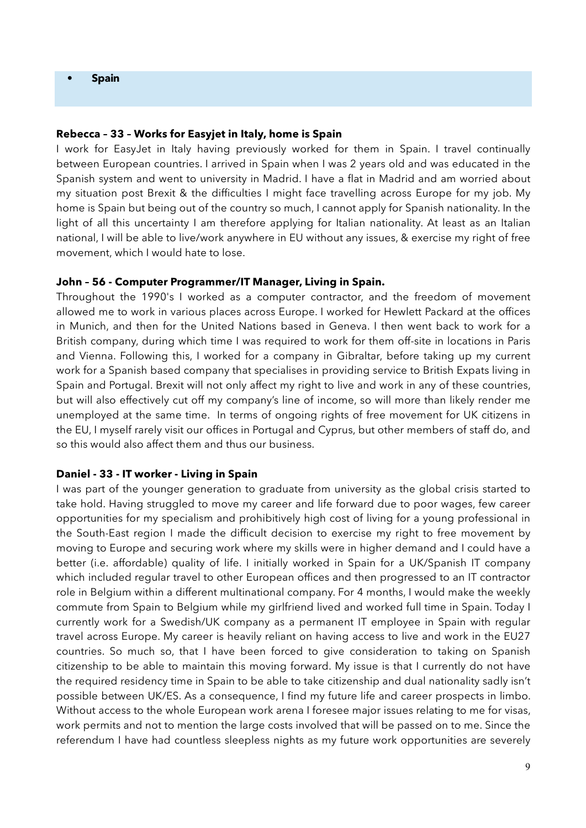#### **• Spain**

#### **Rebecca – 33 – Works for Easyjet in Italy, home is Spain**

I work for EasyJet in Italy having previously worked for them in Spain. I travel continually between European countries. I arrived in Spain when I was 2 years old and was educated in the Spanish system and went to university in Madrid. I have a flat in Madrid and am worried about my situation post Brexit & the difficulties I might face travelling across Europe for my job. My home is Spain but being out of the country so much, I cannot apply for Spanish nationality. In the light of all this uncertainty I am therefore applying for Italian nationality. At least as an Italian national, I will be able to live/work anywhere in EU without any issues, & exercise my right of free movement, which I would hate to lose.

#### **John – 56 - Computer Programmer/IT Manager, Living in Spain.**

Throughout the 1990's I worked as a computer contractor, and the freedom of movement allowed me to work in various places across Europe. I worked for Hewlett Packard at the offices in Munich, and then for the United Nations based in Geneva. I then went back to work for a British company, during which time I was required to work for them off-site in locations in Paris and Vienna. Following this, I worked for a company in Gibraltar, before taking up my current work for a Spanish based company that specialises in providing service to British Expats living in Spain and Portugal. Brexit will not only affect my right to live and work in any of these countries, but will also effectively cut off my company's line of income, so will more than likely render me unemployed at the same time. In terms of ongoing rights of free movement for UK citizens in the EU, I myself rarely visit our offices in Portugal and Cyprus, but other members of staff do, and so this would also affect them and thus our business.

#### **Daniel - 33 - IT worker - Living in Spain**

I was part of the younger generation to graduate from university as the global crisis started to take hold. Having struggled to move my career and life forward due to poor wages, few career opportunities for my specialism and prohibitively high cost of living for a young professional in the South-East region I made the difficult decision to exercise my right to free movement by moving to Europe and securing work where my skills were in higher demand and I could have a better (i.e. affordable) quality of life. I initially worked in Spain for a UK/Spanish IT company which included regular travel to other European offices and then progressed to an IT contractor role in Belgium within a different multinational company. For 4 months, I would make the weekly commute from Spain to Belgium while my girlfriend lived and worked full time in Spain. Today I currently work for a Swedish/UK company as a permanent IT employee in Spain with regular travel across Europe. My career is heavily reliant on having access to live and work in the EU27 countries. So much so, that I have been forced to give consideration to taking on Spanish citizenship to be able to maintain this moving forward. My issue is that I currently do not have the required residency time in Spain to be able to take citizenship and dual nationality sadly isn't possible between UK/ES. As a consequence, I find my future life and career prospects in limbo. Without access to the whole European work arena I foresee major issues relating to me for visas, work permits and not to mention the large costs involved that will be passed on to me. Since the referendum I have had countless sleepless nights as my future work opportunities are severely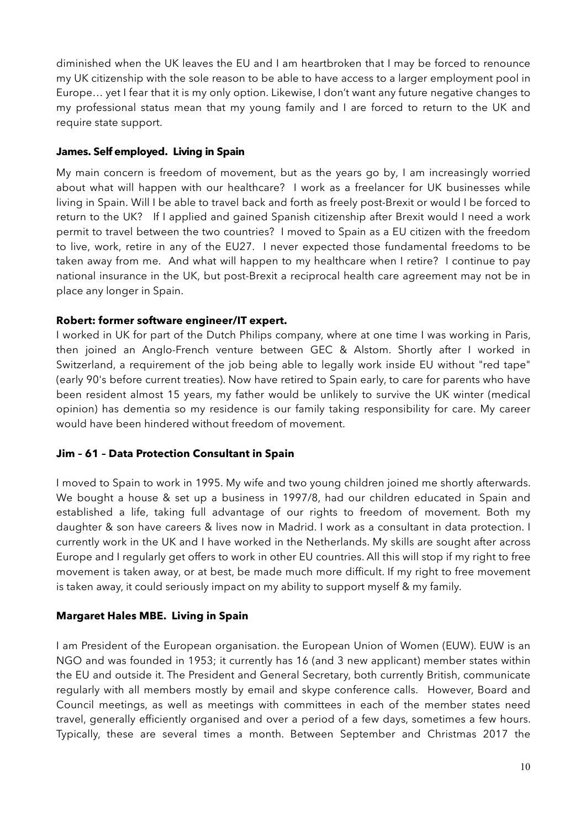diminished when the UK leaves the EU and I am heartbroken that I may be forced to renounce my UK citizenship with the sole reason to be able to have access to a larger employment pool in Europe… yet I fear that it is my only option. Likewise, I don't want any future negative changes to my professional status mean that my young family and I are forced to return to the UK and require state support.

## **James. Self employed. Living in Spain**

My main concern is freedom of movement, but as the years go by, I am increasingly worried about what will happen with our healthcare? I work as a freelancer for UK businesses while living in Spain. Will I be able to travel back and forth as freely post-Brexit or would I be forced to return to the UK? If I applied and gained Spanish citizenship after Brexit would I need a work permit to travel between the two countries? I moved to Spain as a EU citizen with the freedom to live, work, retire in any of the EU27. I never expected those fundamental freedoms to be taken away from me. And what will happen to my healthcare when I retire? I continue to pay national insurance in the UK, but post-Brexit a reciprocal health care agreement may not be in place any longer in Spain.

## **Robert: former software engineer/IT expert.**

I worked in UK for part of the Dutch Philips company, where at one time I was working in Paris, then joined an Anglo-French venture between GEC & Alstom. Shortly after I worked in Switzerland, a requirement of the job being able to legally work inside EU without "red tape" (early 90's before current treaties). Now have retired to Spain early, to care for parents who have been resident almost 15 years, my father would be unlikely to survive the UK winter (medical opinion) has dementia so my residence is our family taking responsibility for care. My career would have been hindered without freedom of movement.

## **Jim – 61 – Data Protection Consultant in Spain**

I moved to Spain to work in 1995. My wife and two young children joined me shortly afterwards. We bought a house & set up a business in 1997/8, had our children educated in Spain and established a life, taking full advantage of our rights to freedom of movement. Both my daughter & son have careers & lives now in Madrid. I work as a consultant in data protection. I currently work in the UK and I have worked in the Netherlands. My skills are sought after across Europe and I regularly get offers to work in other EU countries. All this will stop if my right to free movement is taken away, or at best, be made much more difficult. If my right to free movement is taken away, it could seriously impact on my ability to support myself & my family.

## **Margaret Hales MBE. Living in Spain**

I am President of the European organisation. the European Union of Women (EUW). EUW is an NGO and was founded in 1953; it currently has 16 (and 3 new applicant) member states within the EU and outside it. The President and General Secretary, both currently British, communicate regularly with all members mostly by email and skype conference calls. However, Board and Council meetings, as well as meetings with committees in each of the member states need travel, generally efficiently organised and over a period of a few days, sometimes a few hours. Typically, these are several times a month. Between September and Christmas 2017 the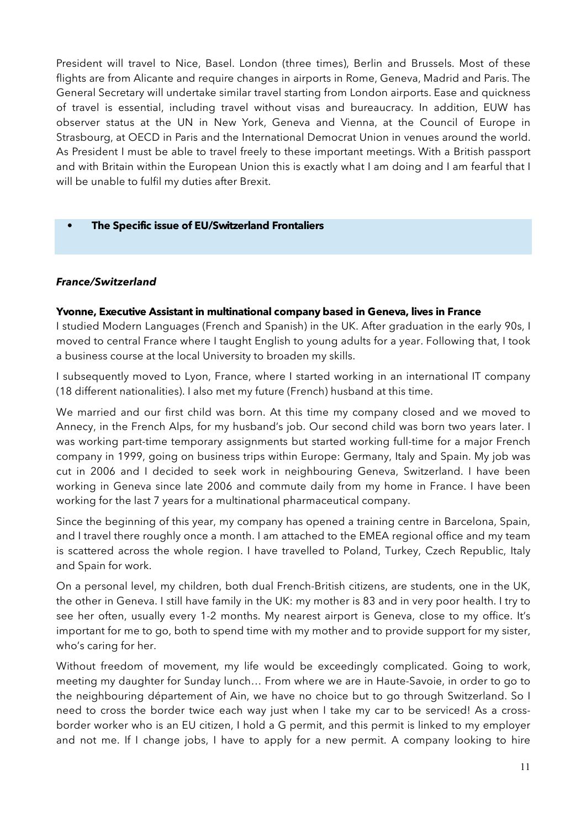President will travel to Nice, Basel. London (three times), Berlin and Brussels. Most of these flights are from Alicante and require changes in airports in Rome, Geneva, Madrid and Paris. The General Secretary will undertake similar travel starting from London airports. Ease and quickness of travel is essential, including travel without visas and bureaucracy. In addition, EUW has observer status at the UN in New York, Geneva and Vienna, at the Council of Europe in Strasbourg, at OECD in Paris and the International Democrat Union in venues around the world. As President I must be able to travel freely to these important meetings. With a British passport and with Britain within the European Union this is exactly what I am doing and I am fearful that I will be unable to fulfil my duties after Brexit.

## **• The Specific issue of EU/Switzerland Frontaliers**

## *France/Switzerland*

## **Yvonne, Executive Assistant in multinational company based in Geneva, lives in France**

I studied Modern Languages (French and Spanish) in the UK. After graduation in the early 90s, I moved to central France where I taught English to young adults for a year. Following that, I took a business course at the local University to broaden my skills.

I subsequently moved to Lyon, France, where I started working in an international IT company (18 different nationalities). I also met my future (French) husband at this time.

We married and our first child was born. At this time my company closed and we moved to Annecy, in the French Alps, for my husband's job. Our second child was born two years later. I was working part-time temporary assignments but started working full-time for a major French company in 1999, going on business trips within Europe: Germany, Italy and Spain. My job was cut in 2006 and I decided to seek work in neighbouring Geneva, Switzerland. I have been working in Geneva since late 2006 and commute daily from my home in France. I have been working for the last 7 years for a multinational pharmaceutical company.

Since the beginning of this year, my company has opened a training centre in Barcelona, Spain, and I travel there roughly once a month. I am attached to the EMEA regional office and my team is scattered across the whole region. I have travelled to Poland, Turkey, Czech Republic, Italy and Spain for work.

On a personal level, my children, both dual French-British citizens, are students, one in the UK, the other in Geneva. I still have family in the UK: my mother is 83 and in very poor health. I try to see her often, usually every 1-2 months. My nearest airport is Geneva, close to my office. It's important for me to go, both to spend time with my mother and to provide support for my sister, who's caring for her.

Without freedom of movement, my life would be exceedingly complicated. Going to work, meeting my daughter for Sunday lunch… From where we are in Haute-Savoie, in order to go to the neighbouring département of Ain, we have no choice but to go through Switzerland. So I need to cross the border twice each way just when I take my car to be serviced! As a crossborder worker who is an EU citizen, I hold a G permit, and this permit is linked to my employer and not me. If I change jobs, I have to apply for a new permit. A company looking to hire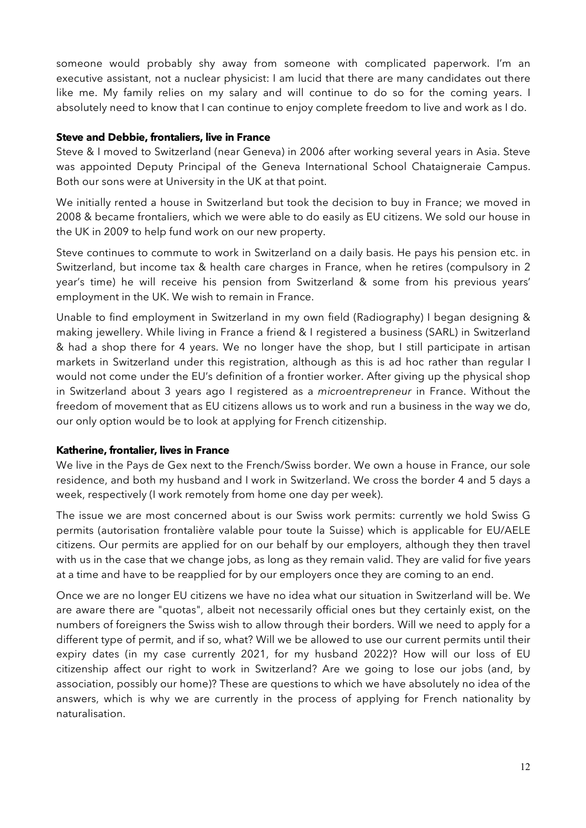someone would probably shy away from someone with complicated paperwork. I'm an executive assistant, not a nuclear physicist: I am lucid that there are many candidates out there like me. My family relies on my salary and will continue to do so for the coming years. I absolutely need to know that I can continue to enjoy complete freedom to live and work as I do.

## **Steve and Debbie, frontaliers, live in France**

Steve & I moved to Switzerland (near Geneva) in 2006 after working several years in Asia. Steve was appointed Deputy Principal of the Geneva International School Chataigneraie Campus. Both our sons were at University in the UK at that point.

We initially rented a house in Switzerland but took the decision to buy in France; we moved in 2008 & became frontaliers, which we were able to do easily as EU citizens. We sold our house in the UK in 2009 to help fund work on our new property.

Steve continues to commute to work in Switzerland on a daily basis. He pays his pension etc. in Switzerland, but income tax & health care charges in France, when he retires (compulsory in 2 year's time) he will receive his pension from Switzerland & some from his previous years' employment in the UK. We wish to remain in France.

Unable to find employment in Switzerland in my own field (Radiography) I began designing & making jewellery. While living in France a friend & I registered a business (SARL) in Switzerland & had a shop there for 4 years. We no longer have the shop, but I still participate in artisan markets in Switzerland under this registration, although as this is ad hoc rather than regular I would not come under the EU's definition of a frontier worker. After giving up the physical shop in Switzerland about 3 years ago I registered as a *microentrepreneur* in France. Without the freedom of movement that as EU citizens allows us to work and run a business in the way we do, our only option would be to look at applying for French citizenship.

## **Katherine, frontalier, lives in France**

We live in the Pays de Gex next to the French/Swiss border. We own a house in France, our sole residence, and both my husband and I work in Switzerland. We cross the border 4 and 5 days a week, respectively (I work remotely from home one day per week).

The issue we are most concerned about is our Swiss work permits: currently we hold Swiss G permits (autorisation frontalière valable pour toute la Suisse) which is applicable for EU/AELE citizens. Our permits are applied for on our behalf by our employers, although they then travel with us in the case that we change jobs, as long as they remain valid. They are valid for five years at a time and have to be reapplied for by our employers once they are coming to an end.

Once we are no longer EU citizens we have no idea what our situation in Switzerland will be. We are aware there are "quotas", albeit not necessarily official ones but they certainly exist, on the numbers of foreigners the Swiss wish to allow through their borders. Will we need to apply for a different type of permit, and if so, what? Will we be allowed to use our current permits until their expiry dates (in my case currently 2021, for my husband 2022)? How will our loss of EU citizenship affect our right to work in Switzerland? Are we going to lose our jobs (and, by association, possibly our home)? These are questions to which we have absolutely no idea of the answers, which is why we are currently in the process of applying for French nationality by naturalisation.